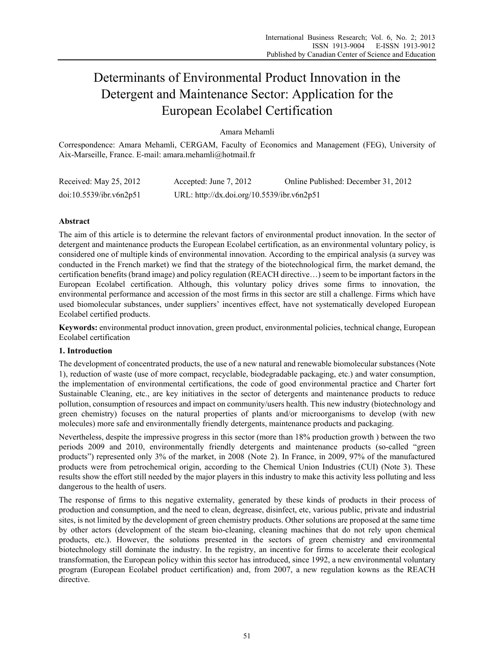# Determinants of Environmental Product Innovation in the Detergent and Maintenance Sector: Application for the European Ecolabel Certification

Amara Mehamli

Correspondence: Amara Mehamli, CERGAM, Faculty of Economics and Management (FEG), University of Aix-Marseille, France. E-mail: amara.mehamli@hotmail.fr

| Received: May 25, 2012  | Accepted: June 7, 2012                     | Online Published: December 31, 2012 |
|-------------------------|--------------------------------------------|-------------------------------------|
| doi:10.5539/ibr.v6n2p51 | URL: http://dx.doi.org/10.5539/ibr.v6n2p51 |                                     |

# **Abstract**

The aim of this article is to determine the relevant factors of environmental product innovation. In the sector of detergent and maintenance products the European Ecolabel certification, as an environmental voluntary policy, is considered one of multiple kinds of environmental innovation. According to the empirical analysis (a survey was conducted in the French market) we find that the strategy of the biotechnological firm, the market demand, the certification benefits (brand image) and policy regulation (REACH directive…) seem to be important factors in the European Ecolabel certification. Although, this voluntary policy drives some firms to innovation, the environmental performance and accession of the most firms in this sector are still a challenge. Firms which have used biomolecular substances, under suppliers' incentives effect, have not systematically developed European Ecolabel certified products.

**Keywords:** environmental product innovation, green product, environmental policies, technical change, European Ecolabel certification

# **1. Introduction**

The development of concentrated products, the use of a new natural and renewable biomolecular substances (Note 1), reduction of waste (use of more compact, recyclable, biodegradable packaging, etc.) and water consumption, the implementation of environmental certifications, the code of good environmental practice and Charter fort Sustainable Cleaning, etc., are key initiatives in the sector of detergents and maintenance products to reduce pollution, consumption of resources and impact on community/users health. This new industry (biotechnology and green chemistry) focuses on the natural properties of plants and/or microorganisms to develop (with new molecules) more safe and environmentally friendly detergents, maintenance products and packaging.

Nevertheless, despite the impressive progress in this sector (more than 18% production growth ) between the two periods 2009 and 2010, environmentally friendly detergents and maintenance products (so-called "green products") represented only 3% of the market, in 2008 (Note 2). In France, in 2009, 97% of the manufactured products were from petrochemical origin, according to the Chemical Union Industries (CUI) (Note 3). These results show the effort still needed by the major players in this industry to make this activity less polluting and less dangerous to the health of users.

The response of firms to this negative externality, generated by these kinds of products in their process of production and consumption, and the need to clean, degrease, disinfect, etc, various public, private and industrial sites, is not limited by the development of green chemistry products. Other solutions are proposed at the same time by other actors (development of the steam bio-cleaning, cleaning machines that do not rely upon chemical products, etc.). However, the solutions presented in the sectors of green chemistry and environmental biotechnology still dominate the industry. In the registry, an incentive for firms to accelerate their ecological transformation, the European policy within this sector has introduced, since 1992, a new environmental voluntary program (European Ecolabel product certification) and, from 2007, a new regulation kowns as the REACH directive.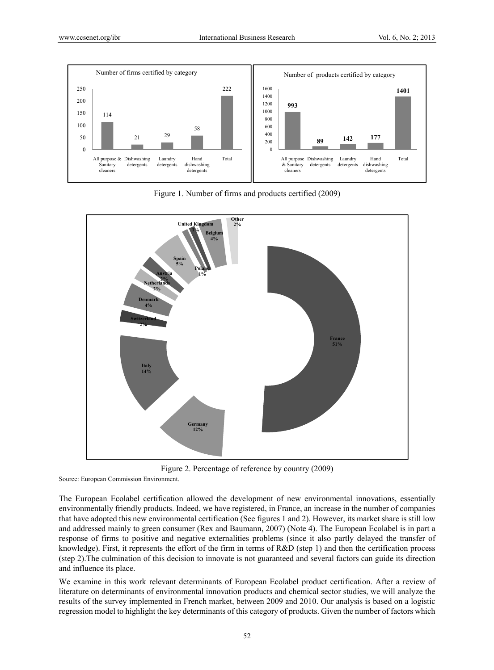

Figure 1. Number of firms and products certified (2009)



Figure 2. Percentage of reference by country (2009)

Source: European Commission Environment.

The European Ecolabel certification allowed the development of new environmental innovations, essentially environmentally friendly products. Indeed, we have registered, in France, an increase in the number of companies that have adopted this new environmental certification (See figures 1 and 2). However, its market share is still low and addressed mainly to green consumer (Rex and Baumann, 2007) (Note 4). The European Ecolabel is in part a response of firms to positive and negative externalities problems (since it also partly delayed the transfer of knowledge). First, it represents the effort of the firm in terms of R&D (step 1) and then the certification process (step 2).The culmination of this decision to innovate is not guaranteed and several factors can guide its direction and influence its place.

We examine in this work relevant determinants of European Ecolabel product certification. After a review of literature on determinants of environmental innovation products and chemical sector studies, we will analyze the results of the survey implemented in French market, between 2009 and 2010. Our analysis is based on a logistic regression model to highlight the key determinants of this category of products. Given the number of factors which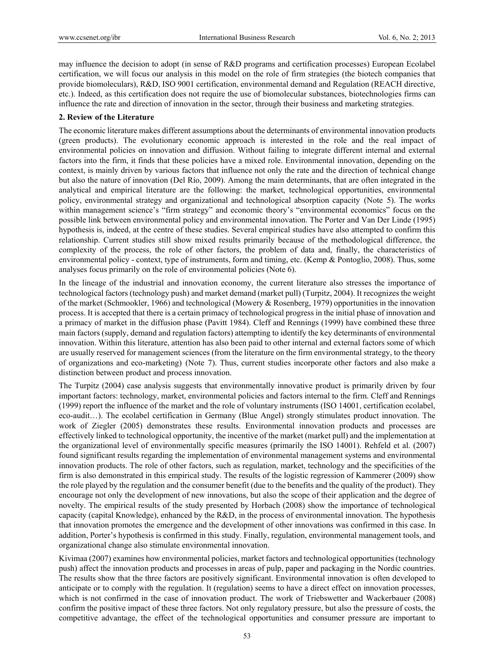may influence the decision to adopt (in sense of R&D programs and certification processes) European Ecolabel certification, we will focus our analysis in this model on the role of firm strategies (the biotech companies that provide biomoleculars), R&D, ISO 9001 certification, environmental demand and Regulation (REACH directive, etc.). Indeed, as this certification does not require the use of biomolecular substances, biotechnologies firms can influence the rate and direction of innovation in the sector, through their business and marketing strategies.

# **2. Review of the Literature**

The economic literature makes different assumptions about the determinants of environmental innovation products (green products). The evolutionary economic approach is interested in the role and the real impact of environmental policies on innovation and diffusion. Without failing to integrate different internal and external factors into the firm, it finds that these policies have a mixed role. Environmental innovation, depending on the context, is mainly driven by various factors that influence not only the rate and the direction of technical change but also the nature of innovation (Del Río, 2009). Among the main determinants, that are often integrated in the analytical and empirical literature are the following: the market, technological opportunities, environmental policy, environmental strategy and organizational and technological absorption capacity (Note 5). The works within management science's "firm strategy" and economic theory's "environmental economics" focus on the possible link between environmental policy and environmental innovation. The Porter and Van Der Linde (1995) hypothesis is, indeed, at the centre of these studies. Several empirical studies have also attempted to confirm this relationship. Current studies still show mixed results primarily because of the methodological difference, the complexity of the process, the role of other factors, the problem of data and, finally, the characteristics of environmental policy - context, type of instruments, form and timing, etc. (Kemp & Pontoglio, 2008). Thus, some analyses focus primarily on the role of environmental policies (Note 6).

In the lineage of the industrial and innovation economy, the current literature also stresses the importance of technological factors (technology push) and market demand (market pull) (Turpitz, 2004). It recognizes the weight of the market (Schmookler, 1966) and technological (Mowery & Rosenberg, 1979) opportunities in the innovation process. It is accepted that there is a certain primacy of technological progress in the initial phase of innovation and a primacy of market in the diffusion phase (Pavitt 1984). Cleff and Rennings (1999) have combined these three main factors (supply, demand and regulation factors) attempting to identify the key determinants of environmental innovation. Within this literature, attention has also been paid to other internal and external factors some of which are usually reserved for management sciences (from the literature on the firm environmental strategy, to the theory of organizations and eco-marketing) (Note 7). Thus, current studies incorporate other factors and also make a distinction between product and process innovation.

The Turpitz (2004) case analysis suggests that environmentally innovative product is primarily driven by four important factors: technology, market, environmental policies and factors internal to the firm. Cleff and Rennings (1999) report the influence of the market and the role of voluntary instruments (ISO 14001, certification ecolabel, eco-audit…). The ecolabel certification in Germany (Blue Angel) strongly stimulates product innovation. The work of Ziegler (2005) demonstrates these results. Environmental innovation products and processes are effectively linked to technological opportunity, the incentive of the market (market pull) and the implementation at the organizational level of environmentally specific measures (primarily the ISO 14001). Rehfeld et al. (2007) found significant results regarding the implementation of environmental management systems and environmental innovation products. The role of other factors, such as regulation, market, technology and the specificities of the firm is also demonstrated in this empirical study. The results of the logistic regression of Kammerer (2009) show the role played by the regulation and the consumer benefit (due to the benefits and the quality of the product). They encourage not only the development of new innovations, but also the scope of their application and the degree of novelty. The empirical results of the study presented by Horbach (2008) show the importance of technological capacity (capital Knowledge), enhanced by the R&D, in the process of environmental innovation. The hypothesis that innovation promotes the emergence and the development of other innovations was confirmed in this case. In addition, Porter's hypothesis is confirmed in this study. Finally, regulation, environmental management tools, and organizational change also stimulate environmental innovation.

Kivimaa (2007) examines how environmental policies, market factors and technological opportunities (technology push) affect the innovation products and processes in areas of pulp, paper and packaging in the Nordic countries. The results show that the three factors are positively significant. Environmental innovation is often developed to anticipate or to comply with the regulation. It (regulation) seems to have a direct effect on innovation processes, which is not confirmed in the case of innovation product. The work of Triebswetter and Wackerbauer (2008) confirm the positive impact of these three factors. Not only regulatory pressure, but also the pressure of costs, the competitive advantage, the effect of the technological opportunities and consumer pressure are important to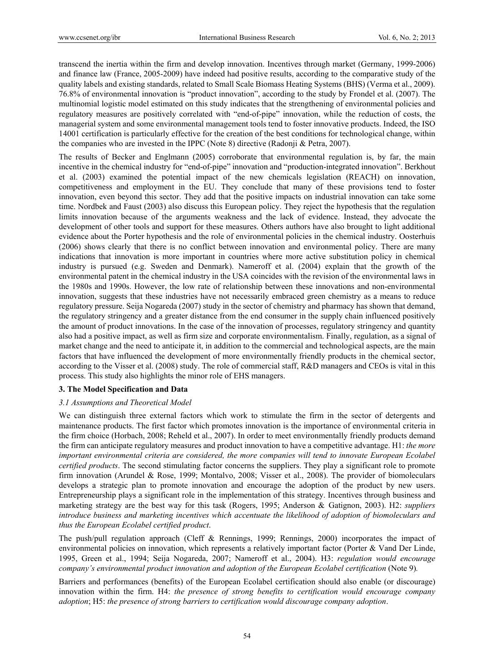transcend the inertia within the firm and develop innovation. Incentives through market (Germany, 1999-2006) and finance law (France, 2005-2009) have indeed had positive results, according to the comparative study of the quality labels and existing standards, related to Small Scale Biomass Heating Systems (BHS) (Verma et al., 2009). 76.8% of environmental innovation is "product innovation", according to the study by Frondel et al. (2007). The multinomial logistic model estimated on this study indicates that the strengthening of environmental policies and regulatory measures are positively correlated with "end-of-pipe" innovation, while the reduction of costs, the managerial system and some environmental management tools tend to foster innovative products. Indeed, the ISO 14001 certification is particularly effective for the creation of the best conditions for technological change, within the companies who are invested in the IPPC (Note 8) directive (Radonji & Petra, 2007).

The results of Becker and Englmann (2005) corroborate that environmental regulation is, by far, the main incentive in the chemical industry for "end-of-pipe" innovation and "production-integrated innovation". Berkhout et al. (2003) examined the potential impact of the new chemicals legislation (REACH) on innovation, competitiveness and employment in the EU. They conclude that many of these provisions tend to foster innovation, even beyond this sector. They add that the positive impacts on industrial innovation can take some time. Nordbek and Faust (2003) also discuss this European policy. They reject the hypothesis that the regulation limits innovation because of the arguments weakness and the lack of evidence. Instead, they advocate the development of other tools and support for these measures. Others authors have also brought to light additional evidence about the Porter hypothesis and the role of environmental policies in the chemical industry. Oosterhuis (2006) shows clearly that there is no conflict between innovation and environmental policy. There are many indications that innovation is more important in countries where more active substitution policy in chemical industry is pursued (e.g. Sweden and Denmark). Nameroff et al. (2004) explain that the growth of the environmental patent in the chemical industry in the USA coincides with the revision of the environmental laws in the 1980s and 1990s. However, the low rate of relationship between these innovations and non-environmental innovation, suggests that these industries have not necessarily embraced green chemistry as a means to reduce regulatory pressure. Seija Nogareda (2007) study in the sector of chemistry and pharmacy has shown that demand, the regulatory stringency and a greater distance from the end consumer in the supply chain influenced positively the amount of product innovations. In the case of the innovation of processes, regulatory stringency and quantity also had a positive impact, as well as firm size and corporate environmentalism. Finally, regulation, as a signal of market change and the need to anticipate it, in addition to the commercial and technological aspects, are the main factors that have influenced the development of more environmentally friendly products in the chemical sector, according to the Visser et al. (2008) study. The role of commercial staff, R&D managers and CEOs is vital in this process. This study also highlights the minor role of EHS managers.

# **3. The Model Specification and Data**

## *3.1 Assumptions and Theoretical Model*

We can distinguish three external factors which work to stimulate the firm in the sector of detergents and maintenance products. The first factor which promotes innovation is the importance of environmental criteria in the firm choice (Horbach, 2008; Reheld et al., 2007). In order to meet environmentally friendly products demand the firm can anticipate regulatory measures and product innovation to have a competitive advantage. H1: *the more important environmental criteria are considered, the more companies will tend to innovate European Ecolabel certified products*. The second stimulating factor concerns the suppliers. They play a significant role to promote firm innovation (Arundel & Rose, 1999; Montalvo, 2008; Visser et al., 2008). The provider of biomoleculars develops a strategic plan to promote innovation and encourage the adoption of the product by new users. Entrepreneurship plays a significant role in the implementation of this strategy. Incentives through business and marketing strategy are the best way for this task (Rogers, 1995; Anderson & Gatignon, 2003). H2: *suppliers introduce business and marketing incentives which accentuate the likelihood of adoption of biomoleculars and thus the European Ecolabel certified product*.

The push/pull regulation approach (Cleff & Rennings, 1999; Rennings, 2000) incorporates the impact of environmental policies on innovation, which represents a relatively important factor (Porter & Vand Der Linde, 1995, Green et al., 1994; Seija Nogareda, 2007; Nameroff et al., 2004). H3: *regulation would encourage company's environmental product innovation and adoption of the European Ecolabel certification* (Note 9)*.* 

Barriers and performances (benefits) of the European Ecolabel certification should also enable (or discourage) innovation within the firm. H4: *the presence of strong benefits to certification would encourage company adoption*; H5: *the presence of strong barriers to certification would discourage company adoption*.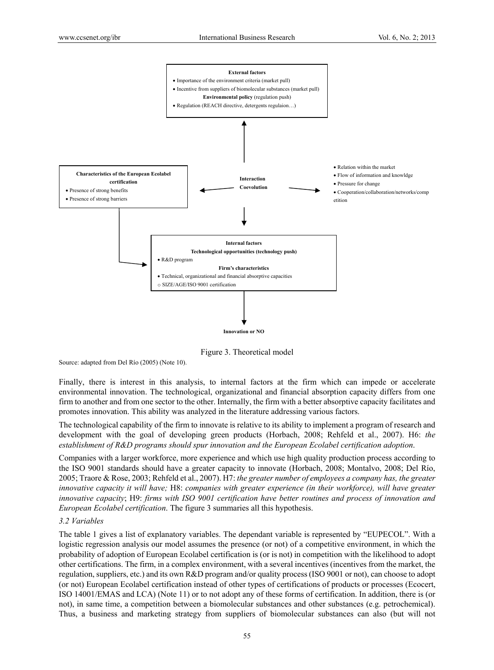

Figure 3. Theoretical model

Source: adapted from Del Río (2005) (Note 10).

Finally, there is interest in this analysis, to internal factors at the firm which can impede or accelerate environmental innovation. The technological, organizational and financial absorption capacity differs from one firm to another and from one sector to the other. Internally, the firm with a better absorptive capacity facilitates and promotes innovation. This ability was analyzed in the literature addressing various factors.

The technological capability of the firm to innovate is relative to its ability to implement a program of research and development with the goal of developing green products (Horbach, 2008; Rehfeld et al., 2007). H6: *the establishment of R&D programs should spur innovation and the European Ecolabel certification adoption*.

Companies with a larger workforce, more experience and which use high quality production process according to the ISO 9001 standards should have a greater capacity to innovate (Horbach, 2008; Montalvo, 2008; Del Río, 2005; Traore & Rose, 2003; Rehfeld et al., 2007). H7: *the greater number of employees a company has, the greater innovative capacity it will have;* H8: *companies with greater experience (in their workforce), will have greater innovative capacity*; H9: *firms with ISO 9001 certification have better routines and process of innovation and European Ecolabel certification*. The figure 3 summaries all this hypothesis.

# *3.2 Variables*

The table 1 gives a list of explanatory variables. The dependant variable is represented by "EUPECOL". With a logistic regression analysis our model assumes the presence (or not) of a competitive environment, in which the probability of adoption of European Ecolabel certification is (or is not) in competition with the likelihood to adopt other certifications. The firm, in a complex environment, with a several incentives (incentives from the market, the regulation, suppliers, etc.) and its own R&D program and/or quality process (ISO 9001 or not), can choose to adopt (or not) European Ecolabel certification instead of other types of certifications of products or processes (Ecocert, ISO 14001/EMAS and LCA) (Note 11) or to not adopt any of these forms of certification. In addition, there is (or not), in same time, a competition between a biomolecular substances and other substances (e.g. petrochemical). Thus, a business and marketing strategy from suppliers of biomolecular substances can also (but will not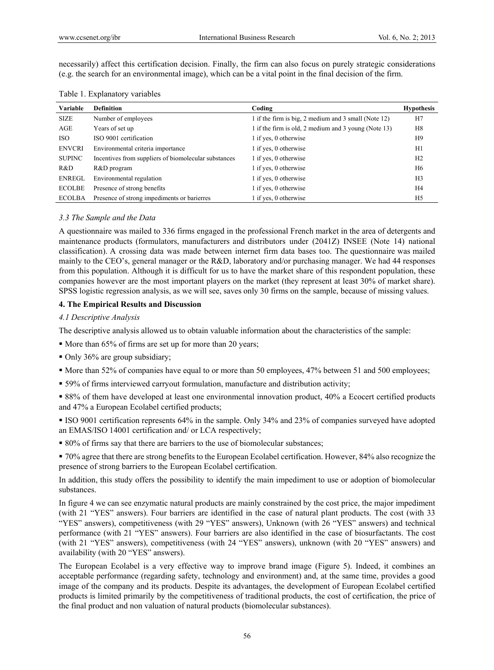necessarily) affect this certification decision. Finally, the firm can also focus on purely strategic considerations (e.g. the search for an environmental image), which can be a vital point in the final decision of the firm.

|  | Table 1. Explanatory variables |  |
|--|--------------------------------|--|
|--|--------------------------------|--|

| Variable      | <b>Definition</b>                                    | Coding                                               | <b>Hypothesis</b> |
|---------------|------------------------------------------------------|------------------------------------------------------|-------------------|
| <b>SIZE</b>   | Number of employees                                  | 1 if the firm is big, 2 medium and 3 small (Note 12) | H7                |
| AGE           | Years of set up                                      | 1 if the firm is old, 2 medium and 3 young (Note 13) | H8                |
| <b>ISO</b>    | ISO 9001 certification                               | 1 if yes, 0 otherwise                                | H <sub>9</sub>    |
| <b>ENVCRI</b> | Environmental criteria importance                    | 1 if yes, 0 otherwise                                | H1                |
| <b>SUPINC</b> | Incentives from suppliers of biomolecular substances | 1 if yes, 0 otherwise                                | H <sub>2</sub>    |
| R&D           | R&D program                                          | 1 if yes, 0 otherwise                                | H <sub>6</sub>    |
| <b>ENREGL</b> | Environmental regulation                             | 1 if yes, 0 otherwise                                | H <sub>3</sub>    |
| <b>ECOLBE</b> | Presence of strong benefits                          | 1 if yes, 0 otherwise                                | H4                |
| <b>ECOLBA</b> | Presence of strong impediments or barierres          | l if yes, 0 otherwise                                | H <sub>5</sub>    |

## *3.3 The Sample and the Data*

A questionnaire was mailed to 336 firms engaged in the professional French market in the area of detergents and maintenance products (formulators, manufacturers and distributors under (2041Z) INSEE (Note 14) national classification). A crossing data was made between internet firm data bases too. The questionnaire was mailed mainly to the CEO's, general manager or the R&D, laboratory and/or purchasing manager. We had 44 responses from this population. Although it is difficult for us to have the market share of this respondent population, these companies however are the most important players on the market (they represent at least 30% of market share). SPSS logistic regression analysis, as we will see, saves only 30 firms on the sample, because of missing values.

## **4. The Empirical Results and Discussion**

## *4.1 Descriptive Analysis*

The descriptive analysis allowed us to obtain valuable information about the characteristics of the sample:

- More than 65% of firms are set up for more than 20 years;
- Only 36% are group subsidiary;
- More than 52% of companies have equal to or more than 50 employees, 47% between 51 and 500 employees;
- 59% of firms interviewed carryout formulation, manufacture and distribution activity;

 88% of them have developed at least one environmental innovation product, 40% a Ecocert certified products and 47% a European Ecolabel certified products;

 ISO 9001 certification represents 64% in the sample. Only 34% and 23% of companies surveyed have adopted an EMAS/ISO 14001 certification and/ or LCA respectively;

80% of firms say that there are barriers to the use of biomolecular substances;

 70% agree that there are strong benefits to the European Ecolabel certification. However, 84% also recognize the presence of strong barriers to the European Ecolabel certification.

In addition, this study offers the possibility to identify the main impediment to use or adoption of biomolecular substances.

In figure 4 we can see enzymatic natural products are mainly constrained by the cost price, the major impediment (with 21 "YES" answers). Four barriers are identified in the case of natural plant products. The cost (with 33 "YES" answers), competitiveness (with 29 "YES" answers), Unknown (with 26 "YES" answers) and technical performance (with 21 "YES" answers). Four barriers are also identified in the case of biosurfactants. The cost (with 21 "YES" answers), competitiveness (with 24 "YES" answers), unknown (with 20 "YES" answers) and availability (with 20 "YES" answers).

The European Ecolabel is a very effective way to improve brand image (Figure 5). Indeed, it combines an acceptable performance (regarding safety, technology and environment) and, at the same time, provides a good image of the company and its products. Despite its advantages, the development of European Ecolabel certified products is limited primarily by the competitiveness of traditional products, the cost of certification, the price of the final product and non valuation of natural products (biomolecular substances).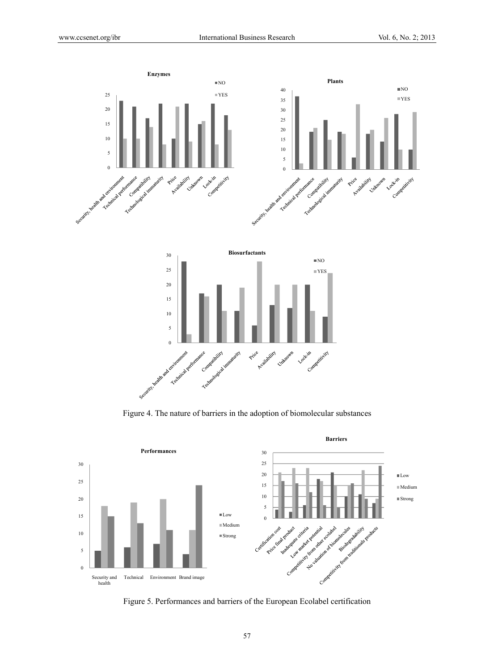

Figure 4. The nature of barriers in the adoption of biomolecular substances



Figure 5. Performances and barriers of the European Ecolabel certification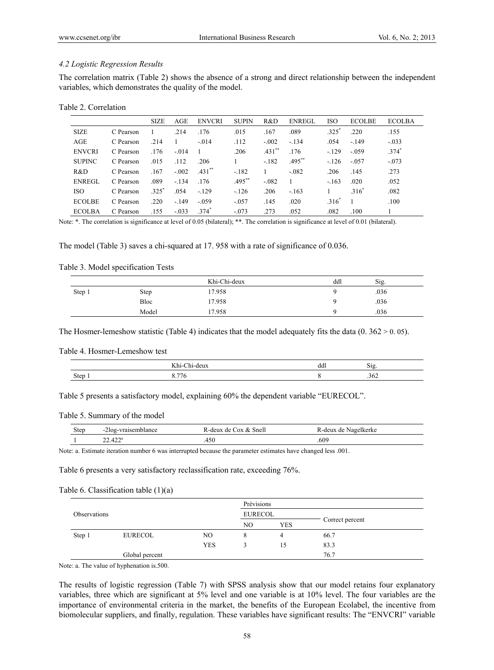#### *4.2 Logistic Regression Results*

The correlation matrix (Table 2) shows the absence of a strong and direct relationship between the independent variables, which demonstrates the quality of the model.

|  | Table 2. Correlation |
|--|----------------------|
|--|----------------------|

|               |           | <b>SIZE</b> | AGE      | <b>ENVCRI</b> | <b>SUPIN</b> | R&D      | <b>ENREGL</b> | <b>ISO</b> | <b>ECOLBE</b> | <b>ECOLBA</b> |
|---------------|-----------|-------------|----------|---------------|--------------|----------|---------------|------------|---------------|---------------|
| <b>SIZE</b>   | C Pearson |             | .214     | .176          | .015         | .167     | .089          | $325^*$    | .220          | .155          |
| AGE           | C Pearson | .214        |          | $-.014$       | .112         | $-.002$  | $-.134$       | .054       | $-149$        | $-.033$       |
| <b>ENVCRI</b> | C Pearson | .176        | $-0.014$ |               | .206         | $.431**$ | .176          | $-129$     | $-.059$       | $.374*$       |
| <b>SUPINC</b> | C Pearson | .015        | .112     | .206          |              | $-182$   | $.495***$     | $-126$     | $-0.057$      | $-.073$       |
| R&D           | C Pearson | .167        | $-.002$  | $.431$ **     | $-182$       |          | $-082$        | .206       | .145          | .273          |
| <b>ENREGL</b> | C Pearson | .089        | $-.134$  | .176          | $.495***$    | $-082$   |               | $-163$     | .020          | .052          |
| <b>ISO</b>    | C Pearson | $.325*$     | .054     | $-129$        | $-126$       | .206     | $-163$        |            | $.316*$       | .082          |
| <b>ECOLBE</b> | C Pearson | .220        | $-149$   | $-.059$       | $-.057$      | .145     | .020          | $316^*$    |               | .100          |
| <b>ECOLBA</b> | C Pearson | .155        | $-.033$  | $.374*$       | $-.073$      | .273     | .052          | .082       | .100          |               |

Note: \*. The correlation is significance at level of 0.05 (bilateral); \*\*. The correlation is significance at level of 0.01 (bilateral).

The model (Table 3) saves a chi-squared at 17. 958 with a rate of significance of 0.036.

Table 3. Model specification Tests

|        |       | Khi-Chi-deux | ddl | Sig. |  |
|--------|-------|--------------|-----|------|--|
| Step 1 | Step  | 17.958       |     | .036 |  |
|        | Bloc  | 17.958       |     | .036 |  |
|        | Model | 17.958       |     | .036 |  |

The Hosmer-lemeshow statistic (Table 4) indicates that the model adequately fits the data  $(0. 362 \times 0. 05)$ .

Table 4. Hosmer-Lemeshow test

|             | v y s<br> | ddl | $\sim$ .<br>519 |
|-------------|-----------|-----|-----------------|
| <b>Step</b> | $- -$     |     | L<br>$20\angle$ |

Table 5 presents a satisfactory model, explaining 60% the dependent variable "EURECOL".

#### Table 5. Summary of the model

| <b>Step</b> | -2log-vraisemblance | Cox & Snell<br>√-deux de ∤ | Nagelkerke<br>k-deux<br>de |  |
|-------------|---------------------|----------------------------|----------------------------|--|
|             | $22.422^a$          | 450                        | .609                       |  |

Note: a. Estimate iteration number 6 was interrupted because the parameter estimates have changed less .001.

Table 6 presents a very satisfactory reclassification rate, exceeding 76%.

Table 6. Classification table (1)(a)

|              |                |            | Prévisions |            |                 |  |
|--------------|----------------|------------|------------|------------|-----------------|--|
| Observations |                |            | EURECOL    |            |                 |  |
|              |                |            | NO.        | <b>YES</b> | Correct percent |  |
| Step 1       | EURECOL        | NO.        |            | 4          | 66.7            |  |
|              |                | <b>YES</b> |            | 15         | 83.3            |  |
|              | Global percent |            |            |            | 76.7            |  |

Note: a. The value of hyphenation is.500.

The results of logistic regression (Table 7) with SPSS analysis show that our model retains four explanatory variables, three which are significant at 5% level and one variable is at 10% level. The four variables are the importance of environmental criteria in the market, the benefits of the European Ecolabel, the incentive from biomolecular suppliers, and finally, regulation. These variables have significant results: The "ENVCRI" variable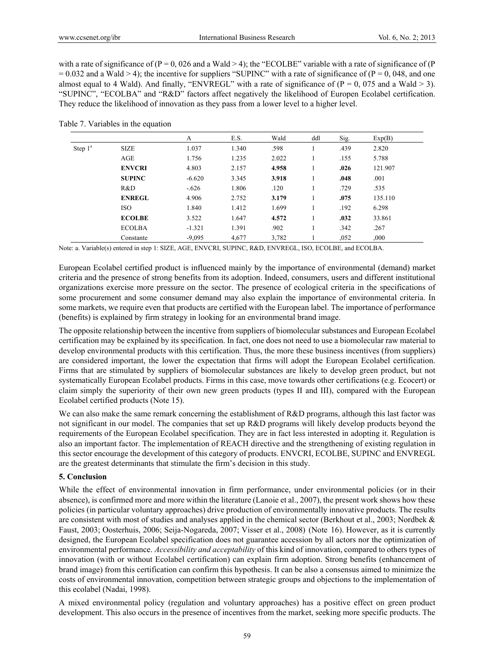with a rate of significance of  $(P = 0, 026$  and a Wald  $> 4$ ); the "ECOLBE" variable with a rate of significance of  $(P = 0, 026)$  $= 0.032$  and a Wald  $> 4$ ); the incentive for suppliers "SUPINC" with a rate of significance of (P = 0, 048, and one almost equal to 4 Wald). And finally, "ENVREGL" with a rate of significance of  $(P = 0, 075, 0.016)$  and a Wald  $> 3$ ). "SUPINC", "ECOLBA" and "R&D" factors affect negatively the likelihood of Europen Ecolabel certification. They reduce the likelihood of innovation as they pass from a lower level to a higher level.

| Table 7. Variables in the equation |  |
|------------------------------------|--|
|------------------------------------|--|

|            |               | A        | E.S.  | Wald  | ddl | Sig. | Exp(B)  |  |
|------------|---------------|----------|-------|-------|-----|------|---------|--|
| Step $1^a$ | <b>SIZE</b>   | 1.037    | 1.340 | .598  |     | .439 | 2.820   |  |
|            | AGE           | 1.756    | 1.235 | 2.022 |     | .155 | 5.788   |  |
|            | <b>ENVCRI</b> | 4.803    | 2.157 | 4.958 |     | .026 | 121.907 |  |
|            | <b>SUPINC</b> | $-6.620$ | 3.345 | 3.918 |     | .048 | .001    |  |
|            | R&D           | $-.626$  | 1.806 | .120  |     | .729 | .535    |  |
|            | <b>ENREGL</b> | 4.906    | 2.752 | 3.179 |     | .075 | 135.110 |  |
|            | <b>ISO</b>    | 1.840    | 1.412 | 1.699 |     | .192 | 6.298   |  |
|            | <b>ECOLBE</b> | 3.522    | 1.647 | 4.572 |     | .032 | 33.861  |  |
|            | <b>ECOLBA</b> | $-1.321$ | 1.391 | .902  |     | .342 | .267    |  |
|            | Constante     | $-9.095$ | 4,677 | 3,782 |     | ,052 | ,000    |  |

Note: a. Variable(s) entered in step 1: SIZE, AGE, ENVCRI, SUPINC, R&D, ENVREGL, ISO, ECOLBE, and ECOLBA.

European Ecolabel certified product is influenced mainly by the importance of environmental (demand) market criteria and the presence of strong benefits from its adoption. Indeed, consumers, users and different institutional organizations exercise more pressure on the sector. The presence of ecological criteria in the specifications of some procurement and some consumer demand may also explain the importance of environmental criteria. In some markets, we require even that products are certified with the European label. The importance of performance (benefits) is explained by firm strategy in looking for an environmental brand image.

The opposite relationship between the incentive from suppliers of biomolecular substances and European Ecolabel certification may be explained by its specification. In fact, one does not need to use a biomolecular raw material to develop environmental products with this certification. Thus, the more these business incentives (from suppliers) are considered important, the lower the expectation that firms will adopt the European Ecolabel certification. Firms that are stimulated by suppliers of biomolecular substances are likely to develop green product, but not systematically European Ecolabel products. Firms in this case, move towards other certifications (e.g. Ecocert) or claim simply the superiority of their own new green products (types II and III), compared with the European Ecolabel certified products (Note 15).

We can also make the same remark concerning the establishment of R&D programs, although this last factor was not significant in our model. The companies that set up R&D programs will likely develop products beyond the requirements of the European Ecolabel specification. They are in fact less interested in adopting it. Regulation is also an important factor. The implementation of REACH directive and the strengthening of existing regulation in this sector encourage the development of this category of products. ENVCRI, ECOLBE, SUPINC and ENVREGL are the greatest determinants that stimulate the firm's decision in this study.

#### **5. Conclusion**

While the effect of environmental innovation in firm performance, under environmental policies (or in their absence), is confirmed more and more within the literature (Lanoie et al., 2007), the present work shows how these policies (in particular voluntary approaches) drive production of environmentally innovative products. The results are consistent with most of studies and analyses applied in the chemical sector (Berkhout et al., 2003; Nordbek & Faust, 2003; Oosterhuis, 2006; Seija-Nogareda, 2007; Visser et al., 2008) (Note 16). However, as it is currently designed, the European Ecolabel specification does not guarantee accession by all actors nor the optimization of environmental performance. *Accessibility and acceptability* of this kind of innovation, compared to others types of innovation (with or without Ecolabel certification) can explain firm adoption. Strong benefits (enhancement of brand image) from this certification can confirm this hypothesis. It can be also a consensus aimed to minimize the costs of environmental innovation, competition between strategic groups and objections to the implementation of this ecolabel (Nadai, 1998).

A mixed environmental policy (regulation and voluntary approaches) has a positive effect on green product development. This also occurs in the presence of incentives from the market, seeking more specific products. The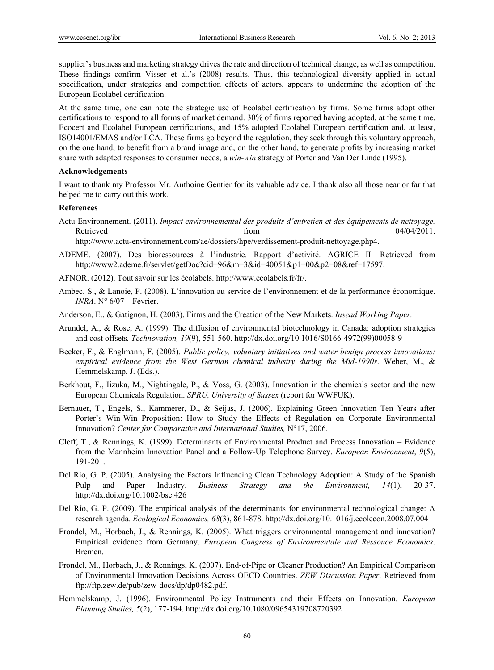supplier's business and marketing strategy drives the rate and direction of technical change, as well as competition. These findings confirm Visser et al.'s (2008) results. Thus, this technological diversity applied in actual specification, under strategies and competition effects of actors, appears to undermine the adoption of the European Ecolabel certification.

At the same time, one can note the strategic use of Ecolabel certification by firms. Some firms adopt other certifications to respond to all forms of market demand. 30% of firms reported having adopted, at the same time, Ecocert and Ecolabel European certifications, and 15% adopted Ecolabel European certification and, at least, ISO14001/EMAS and/or LCA. These firms go beyond the regulation, they seek through this voluntary approach, on the one hand, to benefit from a brand image and, on the other hand, to generate profits by increasing market share with adapted responses to consumer needs, a *win-win* strategy of Porter and Van Der Linde (1995).

#### **Acknowledgements**

I want to thank my Professor Mr. Anthoine Gentier for its valuable advice. I thank also all those near or far that helped me to carry out this work.

## **References**

Actu-Environnement. (2011). *Impact environnemental des produits d'entretien et des équipements de nettoyage.*  Retrieved from 04/04/2011.

http://www.actu-environnement.com/ae/dossiers/hpe/verdissement-produit-nettoyage.php4.

- ADEME. (2007). Des bioressources à l'industrie. Rapport d'activité. AGRICE II. Retrieved from http://www2.ademe.fr/servlet/getDoc?cid=96&m=3&id=40051&p1=00&p2=08&ref=17597.
- AFNOR. (2012). Tout savoir sur les écolabels. http://www.ecolabels.fr/fr/.
- Ambec, S., & Lanoie, P. (2008). L'innovation au service de l'environnement et de la performance économique. *INRA*. N° 6/07 – Février.
- Anderson, E., & Gatignon, H. (2003). Firms and the Creation of the New Markets. *Insead Working Paper.*
- Arundel, A., & Rose, A. (1999). The diffusion of environmental biotechnology in Canada: adoption strategies and cost offsets*. Technovation, 19*(9), 551-560. http://dx.doi.org/10.1016/S0166-4972(99)00058-9
- Becker, F., & Englmann, F. (2005). *Public policy, voluntary initiatives and water benign process innovations: empirical evidence from the West German chemical industry during the Mid-1990s*. Weber, M., & Hemmelskamp, J. (Eds.).
- Berkhout, F., Iizuka, M., Nightingale, P., & Voss, G. (2003). Innovation in the chemicals sector and the new European Chemicals Regulation. *SPRU, University of Sussex* (report for WWFUK).
- Bernauer, T., Engels, S., Kammerer, D., & Seijas, J. (2006). Explaining Green Innovation Ten Years after Porter's Win-Win Proposition: How to Study the Effects of Regulation on Corporate Environmental Innovation? *Center for Comparative and International Studies,* N°17, 2006.
- Cleff, T., & Rennings, K. (1999). Determinants of Environmental Product and Process Innovation Evidence from the Mannheim Innovation Panel and a Follow-Up Telephone Survey. *European Environment*, *9*(5), 191-201.
- Del Río, G. P. (2005). Analysing the Factors Influencing Clean Technology Adoption: A Study of the Spanish Pulp and Paper Industry. *Business Strategy and the Environment, 14*(1), 20-37. http://dx.doi.org/10.1002/bse.426
- Del Río, G. P. (2009). The empirical analysis of the determinants for environmental technological change: A research agenda. *Ecological Economics, 68*(3), 861-878. http://dx.doi.org/10.1016/j.ecolecon.2008.07.004
- Frondel, M., Horbach, J., & Rennings, K. (2005). What triggers environmental management and innovation? Empirical evidence from Germany. *European Congress of Environmentale and Ressouce Economics*. Bremen.
- Frondel, M., Horbach, J., & Rennings, K. (2007). End-of-Pipe or Cleaner Production? An Empirical Comparison of Environmental Innovation Decisions Across OECD Countries. *ZEW Discussion Paper*. Retrieved from ftp://ftp.zew.de/pub/zew-docs/dp/dp0482.pdf.
- Hemmelskamp, J. (1996). Environmental Policy Instruments and their Effects on Innovation. *European Planning Studies, 5*(2), 177-194. http://dx.doi.org/10.1080/09654319708720392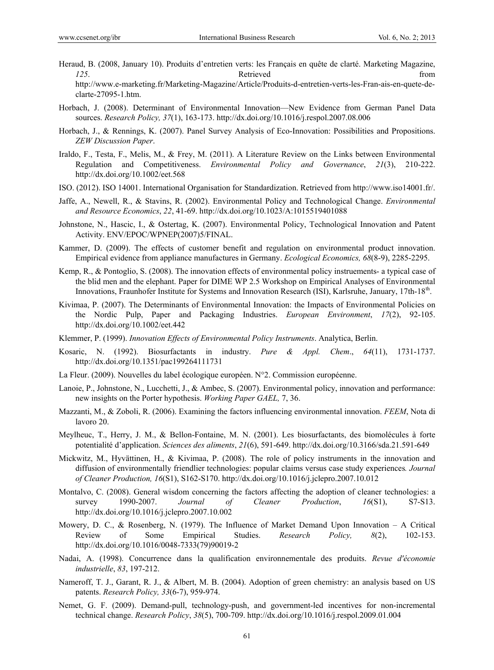- Heraud, B. (2008, January 10). Produits d'entretien verts: les Français en quête de clarté. Marketing Magazine, *125*. Retrieved from http://www.e-marketing.fr/Marketing-Magazine/Article/Produits-d-entretien-verts-les-Fran-ais-en-quete-declarte-27095-1.htm.
- Horbach, J. (2008). Determinant of Environmental Innovation—New Evidence from German Panel Data sources. *Research Policy, 37*(1), 163-173. http://dx.doi.org/10.1016/j.respol.2007.08.006
- Horbach, J., & Rennings, K. (2007). Panel Survey Analysis of Eco-Innovation: Possibilities and Propositions. *ZEW Discussion Paper*.
- Iraldo, F., Testa, F., Melis, M., & Frey, M. (2011). A Literature Review on the Links between Environmental Regulation and Competitiveness. *Environmental Policy and Governance*, *21*(3), 210-222. http://dx.doi.org/10.1002/eet.568
- ISO. (2012). ISO 14001. International Organisation for Standardization. Retrieved from http://www.iso14001.fr/.
- Jaffe, A., Newell, R., & Stavins, R. (2002). Environmental Policy and Technological Change. *Environmental and Resource Economics*, *22*, 41-69. http://dx.doi.org/10.1023/A:1015519401088
- Johnstone, N., Hascic, I., & Ostertag, K. (2007). Environmental Policy, Technological Innovation and Patent Activity. ENV/EPOC/WPNEP(2007)5/FINAL.
- Kammer, D. (2009). The effects of customer benefit and regulation on environmental product innovation. Empirical evidence from appliance manufactures in Germany. *Ecological Economics, 68*(8-9), 2285-2295.
- Kemp, R., & Pontoglio, S. (2008). The innovation effects of environmental policy instruements- a typical case of the blid men and the elephant. Paper for DIME WP 2.5 Workshop on Empirical Analyses of Environmental Innovations, Fraunhofer Institute for Systems and Innovation Research (ISI), Karlsruhe, January, 17th-18<sup>th</sup>.
- Kivimaa, P. (2007). The Determinants of Environmental Innovation: the Impacts of Environmental Policies on the Nordic Pulp, Paper and Packaging Industries. *European Environment*, *17*(2), 92-105. http://dx.doi.org/10.1002/eet.442
- Klemmer, P. (1999). *Innovation Effects of Environmental Policy Instruments*. Analytica, Berlin.
- Kosaric, N. (1992). Biosurfactants in industry. *Pure & Appl. Chem*., *64*(11), 1731-1737. http://dx.doi.org/10.1351/pac199264111731
- La Fleur. (2009). Nouvelles du label écologique européen. N°2. Commission européenne.
- Lanoie, P., Johnstone, N., Lucchetti, J., & Ambec, S. (2007). Environmental policy, innovation and performance: new insights on the Porter hypothesis. *Working Paper GAEL,* 7, 36.
- Mazzanti, M., & Zoboli, R. (2006). Examining the factors influencing environmental innovation. *FEEM*, Nota di lavoro 20.
- Meylheuc, T., Herry, J. M., & Bellon-Fontaine, M. N. (2001). Les biosurfactants, des biomolécules à forte potentialité d'application. *Sciences des aliments*, *21*(6), 591-649. http://dx.doi.org/10.3166/sda.21.591-649
- Mickwitz, M., Hyvättinen, H., & Kivimaa, P. (2008). The role of policy instruments in the innovation and diffusion of environmentally friendlier technologies: popular claims versus case study experiences*. Journal of Cleaner Production, 16*(S1), S162-S170. http://dx.doi.org/10.1016/j.jclepro.2007.10.012
- Montalvo, C. (2008). General wisdom concerning the factors affecting the adoption of cleaner technologies: a survey 1990-2007. *Journal of Cleaner Production*, *16*(S1), S7-S13. http://dx.doi.org/10.1016/j.jclepro.2007.10.002
- Mowery, D. C., & Rosenberg, N. (1979). The Influence of Market Demand Upon Innovation A Critical Review of Some Empirical Studies. *Research Policy, 8*(2), 102-153. http://dx.doi.org/10.1016/0048-7333(79)90019-2
- Nadai, A. (1998). Concurrence dans la qualification environnementale des produits. *Revue d'économie industrielle*, *83*, 197-212.
- Nameroff, T. J., Garant, R. J., & Albert, M. B. (2004). Adoption of green chemistry: an analysis based on US patents. *Research Policy, 33*(6-7), 959-974.
- Nemet, G. F. (2009). Demand-pull, technology-push, and government-led incentives for non-incremental technical change. *Research Policy*, *38*(5), 700-709. http://dx.doi.org/10.1016/j.respol.2009.01.004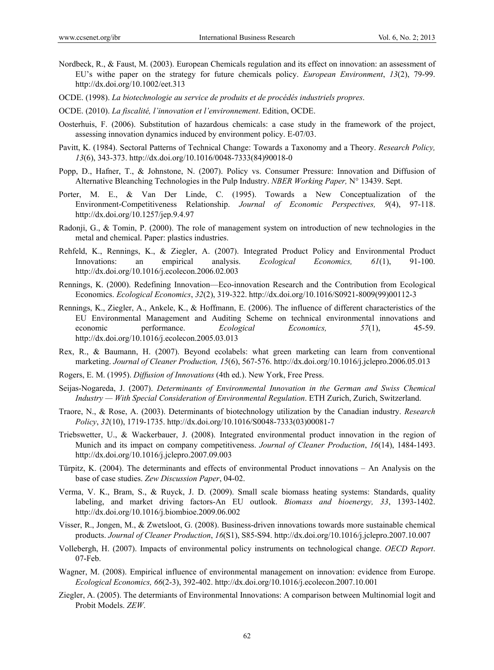- Nordbeck, R., & Faust, M. (2003). European Chemicals regulation and its effect on innovation: an assessment of EU's withe paper on the strategy for future chemicals policy. *European Environment*, *13*(2), 79-99. http://dx.doi.org/10.1002/eet.313
- OCDE. (1998). *La biotechnologie au service de produits et de procédés industriels propres*.
- OCDE. (2010). *La fiscalité, l'innovation et l'environnement*. Edition, OCDE.
- Oosterhuis, F. (2006). Substitution of hazardous chemicals: a case study in the framework of the project, assessing innovation dynamics induced by environment policy. E-07/03.
- Pavitt, K. (1984). Sectoral Patterns of Technical Change: Towards a Taxonomy and a Theory. *Research Policy, 13*(6), 343-373. http://dx.doi.org/10.1016/0048-7333(84)90018-0
- Popp, D., Hafner, T., & Johnstone, N. (2007). Policy vs. Consumer Pressure: Innovation and Diffusion of Alternative Bleanching Technologies in the Pulp Industry. *NBER Working Paper,* N° 13439. Sept.
- Porter, M. E., & Van Der Linde, C. (1995). Towards a New Conceptualization of the Environment-Competitiveness Relationship. *Journal of Economic Perspectives, 9*(4), 97-118. http://dx.doi.org/10.1257/jep.9.4.97
- Radonji, G., & Tomin, P. (2000). The role of management system on introduction of new technologies in the metal and chemical. Paper: plastics industries.
- Rehfeld, K., Rennings, K., & Ziegler, A. (2007). Integrated Product Policy and Environmental Product Innovations: an empirical analysis. *Ecological Economics, 61*(1), 91-100. http://dx.doi.org/10.1016/j.ecolecon.2006.02.003
- Rennings, K. (2000). Redefining Innovation—Eco-innovation Research and the Contribution from Ecological Economics. *Ecological Economics*, *32*(2), 319-322. http://dx.doi.org/10.1016/S0921-8009(99)00112-3
- Rennings, K., Ziegler, A., Ankele, K., & Hoffmann, E. (2006). The influence of different characteristics of the EU Environmental Management and Auditing Scheme on technical environmental innovations and economic performance. *Ecological Economics, 57*(1), 45-59. http://dx.doi.org/10.1016/j.ecolecon.2005.03.013
- Rex, R., & Baumann, H. (2007). Beyond ecolabels: what green marketing can learn from conventional marketing. *Journal of Cleaner Production, 15*(6), 567-576. http://dx.doi.org/10.1016/j.jclepro.2006.05.013
- Rogers, E. M. (1995). *Diffusion of Innovations* (4th ed.). New York, Free Press.
- Seijas-Nogareda, J. (2007). *Determinants of Environmental Innovation in the German and Swiss Chemical Industry — With Special Consideration of Environmental Regulation*. ETH Zurich, Zurich, Switzerland.
- Traore, N., & Rose, A. (2003). Determinants of biotechnology utilization by the Canadian industry. *Research Policy*, *32*(10), 1719-1735. http://dx.doi.org/10.1016/S0048-7333(03)00081-7
- Triebswetter, U., & Wackerbauer, J. (2008). Integrated environmental product innovation in the region of Munich and its impact on company competitiveness. *Journal of Cleaner Production*, *16*(14), 1484-1493. http://dx.doi.org/10.1016/j.jclepro.2007.09.003
- Türpitz, K. (2004). The determinants and effects of environmental Product innovations An Analysis on the base of case studies. *Zew Discussion Paper*, 04-02.
- Verma, V. K., Bram, S., & Ruyck, J. D. (2009). Small scale biomass heating systems: Standards, quality labeling, and market driving factors-An EU outlook. *Biomass and bioenergy, 33*, 1393-1402. http://dx.doi.org/10.1016/j.biombioe.2009.06.002
- Visser, R., Jongen, M., & Zwetsloot, G. (2008). Business-driven innovations towards more sustainable chemical products. *Journal of Cleaner Production*, *16*(S1), S85-S94. http://dx.doi.org/10.1016/j.jclepro.2007.10.007
- Vollebergh, H. (2007). Impacts of environmental policy instruments on technological change. *OECD Report*. 07-Feb.
- Wagner, M. (2008). Empirical influence of environmental management on innovation: evidence from Europe. *Ecological Economics, 66*(2-3), 392-402. http://dx.doi.org/10.1016/j.ecolecon.2007.10.001
- Ziegler, A. (2005). The determiants of Environmental Innovations: A comparison between Multinomial logit and Probit Models. *ZEW*.